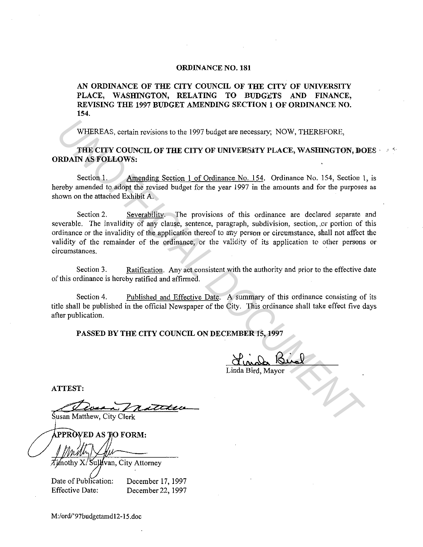## **ORDINANCE NO. 181**

**AN ORDINANCE OF THE CITY COUNCIL OF THE CITY OF UNIVERSITY**  PLACE, WASHINGTON, RELATING TO BUDGETS AND FINANCE, **REVISING THE 1997 BUDGET AMENDING SECTION 1 OF ORDINANCE NO. 154.** 

WHEREAS, certain revisions to the 1997 budget are necessary; NOW, THEREFORE,

**THE CITY COUNCIL OF THE CITY OF UNIVERS,iTY PLACE, WASHING TON, DOES** · ·. '' **ORDAIN AS FOLLOWS:** 

Section 1. Amending Section 1 of Ordinance No. 154. Ordinance No. 154, Section 1, is hereby amended to adopt the revised budget for the year 1997 in the amounts and for the purposes as shown on the attached Exhibit A.

Section 2. Severability. The provisions of this ordinance are declared separate and severable. The invalidity of any clause, sentence, paragraph, subdivision, section, or portion of this ordinance or the invalidity of the application thereof to any person or circumstance, shall not affect the validity of the remainder of the ordinance, or the validity of its application to other persons or circumstances. WHEREAS, cortain revisions to the 1997 budget are necessary; NOW, THEREFORE,<br> **THE CITY COUNCIL OF THE CITY OF UNIVERSITY PLACE, WASHINGTON, DO<br>
RDAIN AS FOLLOWS:**<br>
Section 1.<br>
Section 1.<br>
Amending Section 1.of Ordinance N

Section 3. Ratification. Any act consistent with the authority and prior to the effective date of this ordinance is hereby ratified and affirmed.

Section 4. Published and Effective Date. A summary of this ordinance consisting of its title shall be published in the official Newspaper of the City. This ordinance shall take effect five days after publication.

**PASSED BY THE CITY COUNCIL ON DECEMBER 15, 1997** 

Linda Bird, Mayor

**ATTEST:** 

Susan Matthew, City Clerk

PPRÒVED AS TO FORM:

Timothy X/Sullyvan, City Attorney

Date of Publication: Effective Date: December 17, 1997 December 22, 1997

M:/ord/'97budgetamd12-15.doc